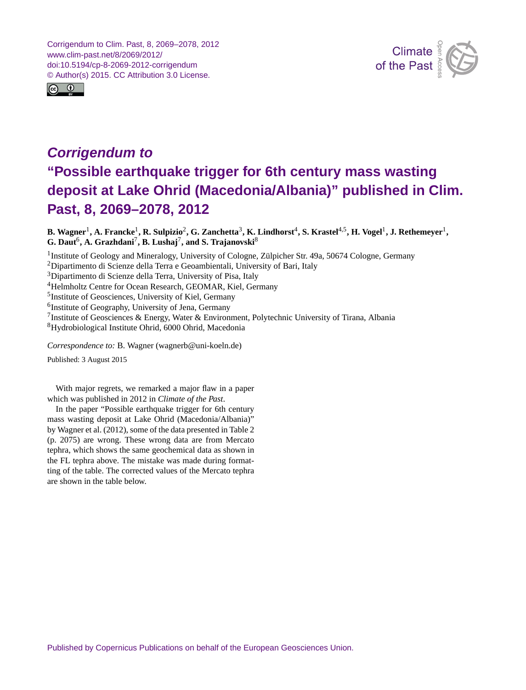Corrigendum to Clim. Past, 8, 2069–2078, 2012 www.clim-past.net/8/2069/2012/ doi:10.5194/cp-8-2069-2012-corrigendum © Author(s) 2015. CC Attribution 3.0 License.





## *Corrigendum to* **"Possible earthquake trigger for 6th century mass wasting deposit at Lake Ohrid (Macedonia/Albania)" published in Clim. Past, 8, 2069–2078, 2012**

 ${\bf B.}$  Wagner<sup>[1](#page-0-0)</sup>, A. Francke<sup>1</sup>, R. Sulpizio<sup>[2](#page-0-0)</sup>, G. Zanchetta $^3$  $^3$ , K. Lindhorst $^4$  $^4$ , S. Krastel $^{4,5}$  $^{4,5}$  $^{4,5}$ , H. Vogel $^1$ , J. Rethemeyer $^1,$  $\mathbf{G}.$  Daut<sup>[6](#page-0-0)</sup>, A. Grazhdani<sup>[7](#page-0-0)</sup>, B. Lushaj<sup>7</sup>, and S. Trajanovski<sup>[8](#page-0-0)</sup>

<sup>1</sup> Institute of Geology and Mineralogy, University of Cologne, Zülpicher Str. 49a, 50674 Cologne, Germany <sup>2</sup>Dipartimento di Scienze della Terra e Geoambientali, University of Bari, Italy <sup>3</sup>Dipartimento di Scienze della Terra, University of Pisa, Italy <sup>4</sup>Helmholtz Centre for Ocean Research, GEOMAR, Kiel, Germany <sup>5</sup>Institute of Geosciences, University of Kiel, Germany <sup>6</sup>Institute of Geography, University of Jena, Germany <sup>7</sup>Institute of Geosciences & Energy, Water & Environment, Polytechnic University of Tirana, Albania <sup>8</sup>Hydrobiological Institute Ohrid, 6000 Ohrid, Macedonia

*Correspondence to:* B. Wagner (wagnerb@uni-koeln.de)

Published: 3 August 2015

<span id="page-0-0"></span>With major regrets, we remarked a major flaw in a paper which was published in 2012 in *Climate of the Past*.

In the paper "Possible earthquake trigger for 6th century mass wasting deposit at Lake Ohrid (Macedonia/Albania)" by Wagner et al. (2012), some of the data presented in Table 2 (p. 2075) are wrong. These wrong data are from Mercato tephra, which shows the same geochemical data as shown in the FL tephra above. The mistake was made during formatting of the table. The corrected values of the Mercato tephra are shown in the table below.